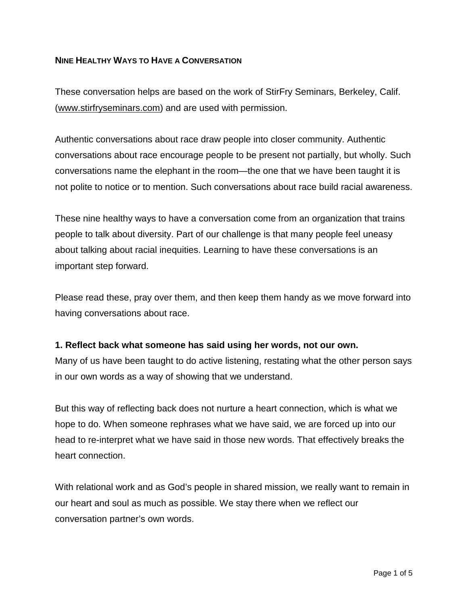## **NINE HEALTHY WAYS TO HAVE A CONVERSATION**

These conversation helps are based on the work of StirFry Seminars, Berkeley, Calif. [\(www.stirfryseminars.com\)](http://www.stirfryseminars.com/) and are used with permission.

Authentic conversations about race draw people into closer community. Authentic conversations about race encourage people to be present not partially, but wholly. Such conversations name the elephant in the room—the one that we have been taught it is not polite to notice or to mention. Such conversations about race build racial awareness.

These nine healthy ways to have a conversation come from an organization that trains people to talk about diversity. Part of our challenge is that many people feel uneasy about talking about racial inequities. Learning to have these conversations is an important step forward.

Please read these, pray over them, and then keep them handy as we move forward into having conversations about race.

## **1. Reflect back what someone has said using her words, not our own.**

Many of us have been taught to do active listening, restating what the other person says in our own words as a way of showing that we understand.

But this way of reflecting back does not nurture a heart connection, which is what we hope to do. When someone rephrases what we have said, we are forced up into our head to re-interpret what we have said in those new words. That effectively breaks the heart connection.

With relational work and as God's people in shared mission, we really want to remain in our heart and soul as much as possible. We stay there when we reflect our conversation partner's own words.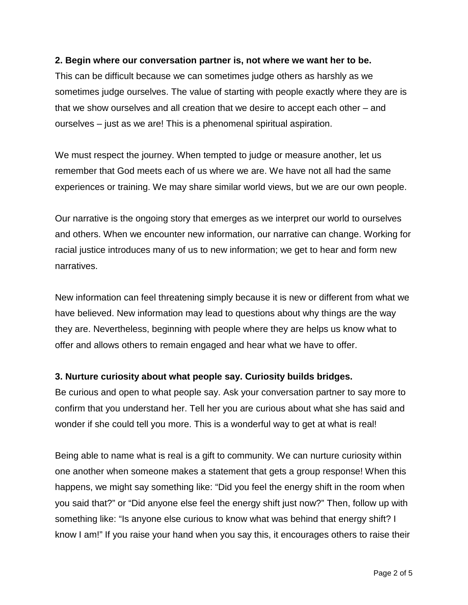#### **2. Begin where our conversation partner is, not where we want her to be.**

This can be difficult because we can sometimes judge others as harshly as we sometimes judge ourselves. The value of starting with people exactly where they are is that we show ourselves and all creation that we desire to accept each other – and ourselves – just as we are! This is a phenomenal spiritual aspiration.

We must respect the journey. When tempted to judge or measure another, let us remember that God meets each of us where we are. We have not all had the same experiences or training. We may share similar world views, but we are our own people.

Our narrative is the ongoing story that emerges as we interpret our world to ourselves and others. When we encounter new information, our narrative can change. Working for racial justice introduces many of us to new information; we get to hear and form new narratives.

New information can feel threatening simply because it is new or different from what we have believed. New information may lead to questions about why things are the way they are. Nevertheless, beginning with people where they are helps us know what to offer and allows others to remain engaged and hear what we have to offer.

## **3. Nurture curiosity about what people say. Curiosity builds bridges.**

Be curious and open to what people say. Ask your conversation partner to say more to confirm that you understand her. Tell her you are curious about what she has said and wonder if she could tell you more. This is a wonderful way to get at what is real!

Being able to name what is real is a gift to community. We can nurture curiosity within one another when someone makes a statement that gets a group response! When this happens, we might say something like: "Did you feel the energy shift in the room when you said that?" or "Did anyone else feel the energy shift just now?" Then, follow up with something like: "Is anyone else curious to know what was behind that energy shift? I know I am!" If you raise your hand when you say this, it encourages others to raise their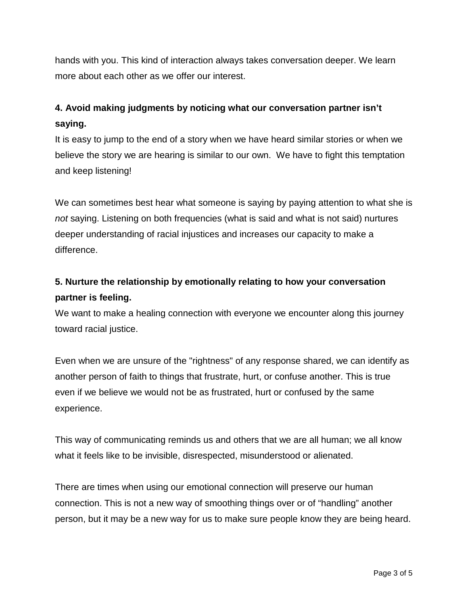hands with you. This kind of interaction always takes conversation deeper. We learn more about each other as we offer our interest.

## **4. Avoid making judgments by noticing what our conversation partner isn't saying.**

It is easy to jump to the end of a story when we have heard similar stories or when we believe the story we are hearing is similar to our own. We have to fight this temptation and keep listening!

We can sometimes best hear what someone is saying by paying attention to what she is *not* saying. Listening on both frequencies (what is said and what is not said) nurtures deeper understanding of racial injustices and increases our capacity to make a difference.

# **5. Nurture the relationship by emotionally relating to how your conversation partner is feeling.**

We want to make a healing connection with everyone we encounter along this journey toward racial justice.

Even when we are unsure of the "rightness" of any response shared, we can identify as another person of faith to things that frustrate, hurt, or confuse another. This is true even if we believe we would not be as frustrated, hurt or confused by the same experience.

This way of communicating reminds us and others that we are all human; we all know what it feels like to be invisible, disrespected, misunderstood or alienated.

There are times when using our emotional connection will preserve our human connection. This is not a new way of smoothing things over or of "handling" another person, but it may be a new way for us to make sure people know they are being heard.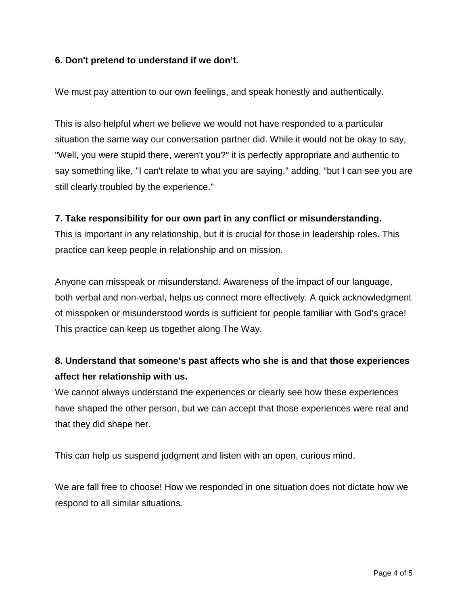## **6. Don't pretend to understand if we don't.**

We must pay attention to our own feelings, and speak honestly and authentically.

This is also helpful when we believe we would not have responded to a particular situation the same way our conversation partner did. While it would not be okay to say, "Well, you were stupid there, weren't you?" it is perfectly appropriate and authentic to say something like, "I can't relate to what you are saying," adding, "but I can see you are still clearly troubled by the experience."

## **7. Take responsibility for our own part in any conflict or misunderstanding.**

This is important in any relationship, but it is crucial for those in leadership roles. This practice can keep people in relationship and on mission.

Anyone can misspeak or misunderstand. Awareness of the impact of our language, both verbal and non-verbal, helps us connect more effectively. A quick acknowledgment of misspoken or misunderstood words is sufficient for people familiar with God's grace! This practice can keep us together along The Way.

## **8. Understand that someone's past affects who she is and that those experiences affect her relationship with us.**

We cannot always understand the experiences or clearly see how these experiences have shaped the other person, but we can accept that those experiences were real and that they did shape her.

This can help us suspend judgment and listen with an open, curious mind.

We are fall free to choose! How we responded in one situation does not dictate how we respond to all similar situations.